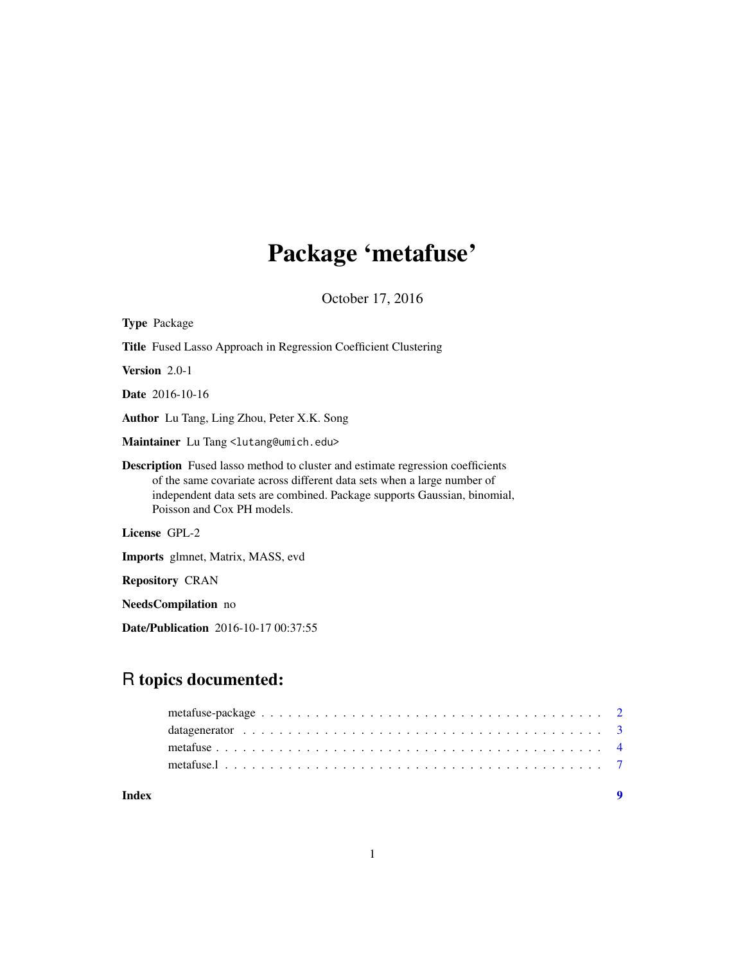# Package 'metafuse'

October 17, 2016

| <b>Type Package</b>                                                                                                                                                                                                                                                        |
|----------------------------------------------------------------------------------------------------------------------------------------------------------------------------------------------------------------------------------------------------------------------------|
| <b>Title</b> Fused Lasso Approach in Regression Coefficient Clustering                                                                                                                                                                                                     |
| <b>Version</b> $2.0-1$                                                                                                                                                                                                                                                     |
| <b>Date</b> 2016-10-16                                                                                                                                                                                                                                                     |
| <b>Author</b> Lu Tang, Ling Zhou, Peter X.K. Song                                                                                                                                                                                                                          |
| Maintainer Lu Tang <lutang@umich.edu></lutang@umich.edu>                                                                                                                                                                                                                   |
| <b>Description</b> Fused lasso method to cluster and estimate regression coefficients<br>of the same covariate across different data sets when a large number of<br>independent data sets are combined. Package supports Gaussian, binomial,<br>Poisson and Cox PH models. |
| License GPL-2                                                                                                                                                                                                                                                              |
| Imports glmnet, Matrix, MASS, evd                                                                                                                                                                                                                                          |
| <b>Repository CRAN</b>                                                                                                                                                                                                                                                     |
| <b>NeedsCompilation</b> no                                                                                                                                                                                                                                                 |

Date/Publication 2016-10-17 00:37:55

# R topics documented:

| Index |  |
|-------|--|
|       |  |
|       |  |
|       |  |
|       |  |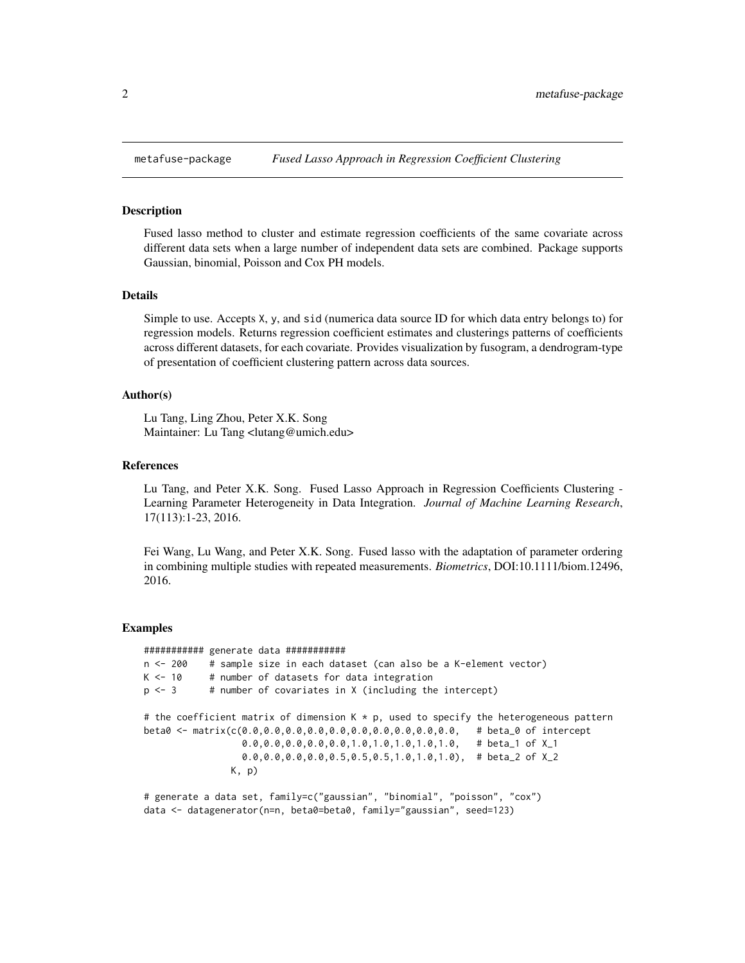<span id="page-1-0"></span>

#### Description

Fused lasso method to cluster and estimate regression coefficients of the same covariate across different data sets when a large number of independent data sets are combined. Package supports Gaussian, binomial, Poisson and Cox PH models.

#### Details

Simple to use. Accepts X, y, and sid (numerica data source ID for which data entry belongs to) for regression models. Returns regression coefficient estimates and clusterings patterns of coefficients across different datasets, for each covariate. Provides visualization by fusogram, a dendrogram-type of presentation of coefficient clustering pattern across data sources.

# Author(s)

Lu Tang, Ling Zhou, Peter X.K. Song Maintainer: Lu Tang <lutang@umich.edu>

#### References

Lu Tang, and Peter X.K. Song. Fused Lasso Approach in Regression Coefficients Clustering - Learning Parameter Heterogeneity in Data Integration. *Journal of Machine Learning Research*, 17(113):1-23, 2016.

Fei Wang, Lu Wang, and Peter X.K. Song. Fused lasso with the adaptation of parameter ordering in combining multiple studies with repeated measurements. *Biometrics*, DOI:10.1111/biom.12496, 2016.

#### Examples

```
########### generate data ###########
n <- 200 # sample size in each dataset (can also be a K-element vector)
K < -10 # number of datasets for data integration
p \le -3 # number of covariates in X (including the intercept)
# the coefficient matrix of dimension K * p, used to specify the heterogeneous pattern
beta0 <- matrix(c(0.0,0.0,0.0,0.0,0.0,0.0,0.0,0.0,0.0,0.0, # beta_0 of intercept
                 0.0,0.0,0.0,0.0,0.0,1.0,1.0,1.0,1.0,1.0, # beta_1 of X_1
                 0.0, 0.0, 0.0, 0.0, 0.5, 0.5, 0.5, 1.0, 1.0, 1.0), # beta_2 of X_2
               K, p)
# generate a data set, family=c("gaussian", "binomial", "poisson", "cox")
data <- datagenerator(n=n, beta0=beta0, family="gaussian", seed=123)
```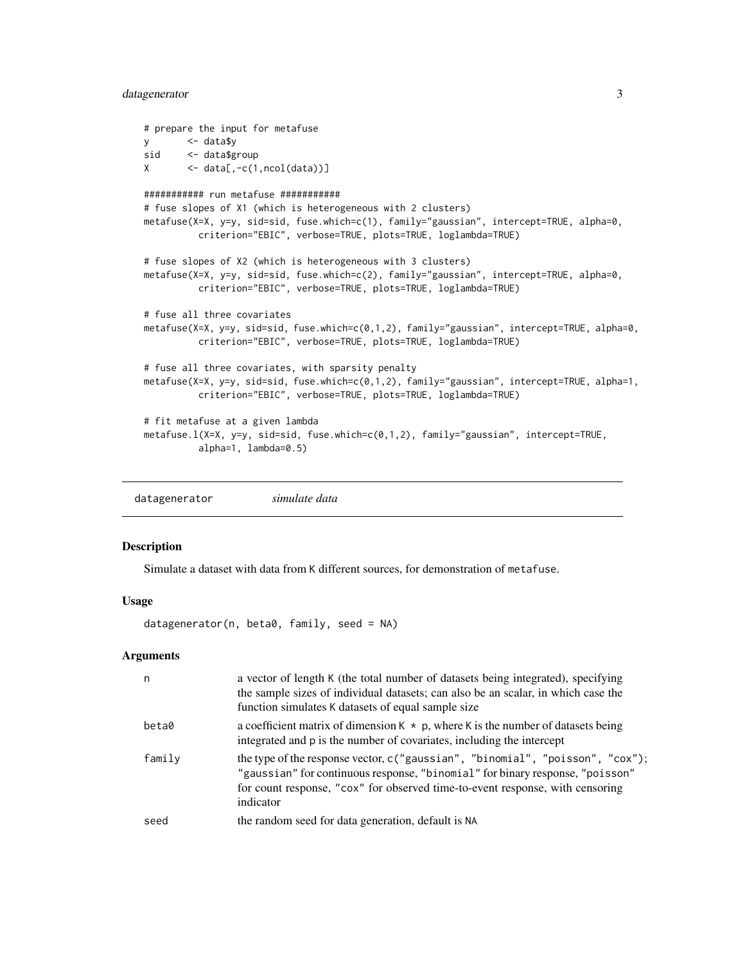### <span id="page-2-0"></span>datagenerator 3

```
# prepare the input for metafuse
y <- data$y
sid <- data$group
X \leftarrow data[, -c(1, \text{ncol(data)})########### run metafuse ###########
# fuse slopes of X1 (which is heterogeneous with 2 clusters)
metafuse(X=X, y=y, sid=sid, fuse.which=c(1), family="gaussian", intercept=TRUE, alpha=0,
          criterion="EBIC", verbose=TRUE, plots=TRUE, loglambda=TRUE)
# fuse slopes of X2 (which is heterogeneous with 3 clusters)
metafuse(X=X, y=y, sid=sid, fuse.which=c(2), family="gaussian", intercept=TRUE, alpha=0,
          criterion="EBIC", verbose=TRUE, plots=TRUE, loglambda=TRUE)
# fuse all three covariates
metafuse(X=X, y=y, sid=sid, fuse.which=c(0,1,2), family="gaussian", intercept=TRUE, alpha=0,
          criterion="EBIC", verbose=TRUE, plots=TRUE, loglambda=TRUE)
# fuse all three covariates, with sparsity penalty
metafuse(X=X, y=y, sid=sid, fuse.which=c(0,1,2), family="gaussian", intercept=TRUE, alpha=1,
          criterion="EBIC", verbose=TRUE, plots=TRUE, loglambda=TRUE)
# fit metafuse at a given lambda
metafuse.l(X=X, y=y, sid=sid, fuse.which=c(0,1,2), family="gaussian", intercept=TRUE,
          alpha=1, lambda=0.5)
```
datagenerator *simulate data*

#### Description

Simulate a dataset with data from K different sources, for demonstration of metafuse.

## Usage

datagenerator(n, beta0, family, seed = NA)

### Arguments

| n      | a vector of length K (the total number of datasets being integrated), specifying<br>the sample sizes of individual datasets; can also be an scalar, in which case the<br>function simulates K datasets of equal sample size                                     |
|--------|-----------------------------------------------------------------------------------------------------------------------------------------------------------------------------------------------------------------------------------------------------------------|
| beta0  | a coefficient matrix of dimension $K * p$ , where K is the number of datasets being<br>integrated and p is the number of covariates, including the intercept                                                                                                    |
| family | the type of the response vector, $c''$ gaussian", "binomial", "poisson", "cox");<br>"gaussian" for continuous response, "binomial" for binary response, "poisson"<br>for count response, "cox" for observed time-to-event response, with censoring<br>indicator |
| seed   | the random seed for data generation, default is NA                                                                                                                                                                                                              |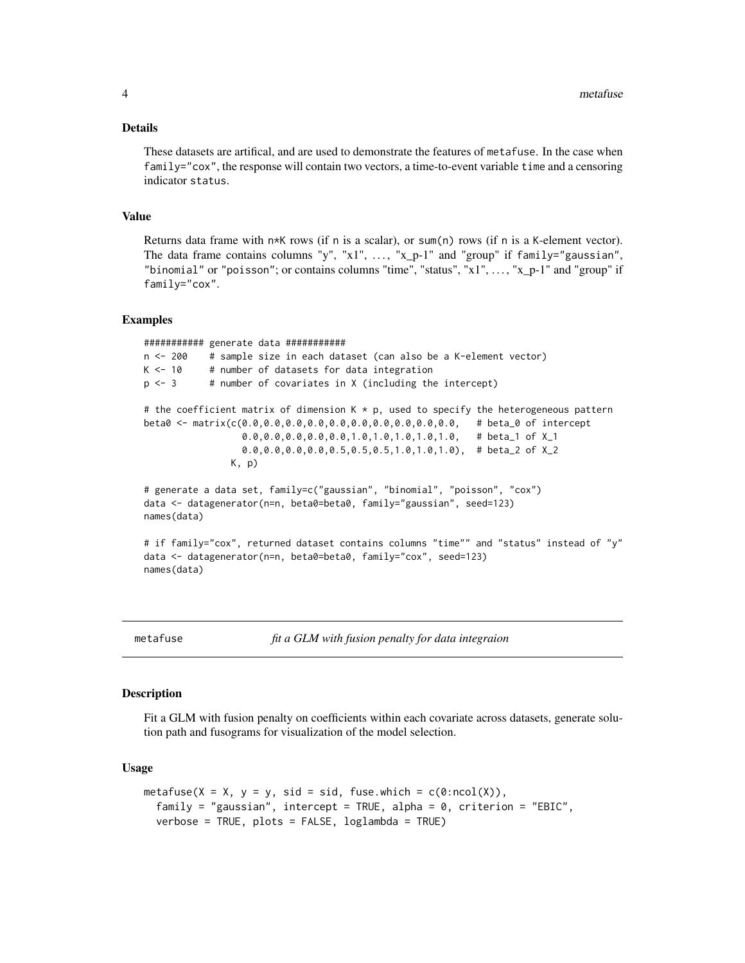#### <span id="page-3-0"></span>Details

These datasets are artifical, and are used to demonstrate the features of metafuse. In the case when family="cox", the response will contain two vectors, a time-to-event variable time and a censoring indicator status.

#### Value

Returns data frame with  $n*K$  rows (if n is a scalar), or sum(n) rows (if n is a K-element vector). The data frame contains columns "y", " $x1$ ", ..., " $x_p-1$ " and "group" if family="gaussian", "binomial" or "poisson"; or contains columns "time", "status", "x1", ..., "x\_p-1" and "group" if family="cox".

#### Examples

########### generate data ########### n <- 200 # sample size in each dataset (can also be a K-element vector)  $K < -10$  # number of datasets for data integration  $p \le -3$  # number of covariates in X (including the intercept) # the coefficient matrix of dimension  $K * p$ , used to specify the heterogeneous pattern beta0 <- matrix(c(0.0,0.0,0.0,0.0,0.0,0.0,0.0,0.0,0.0,0.0, # beta\_0 of intercept 0.0,0.0,0.0,0.0,0.0,1.0,1.0,1.0,1.0,1.0, # beta\_1 of X\_1 0.0,0.0,0.0,0.0,0.5,0.5,0.5,1.0,1.0,1.0), # beta\_2 of X\_2 K, p) # generate a data set, family=c("gaussian", "binomial", "poisson", "cox") data <- datagenerator(n=n, beta0=beta0, family="gaussian", seed=123) names(data) # if family="cox", returned dataset contains columns "time"" and "status" instead of "y" data <- datagenerator(n=n, beta0=beta0, family="cox", seed=123) names(data)

metafuse *fit a GLM with fusion penalty for data integraion*

#### Description

Fit a GLM with fusion penalty on coefficients within each covariate across datasets, generate solution path and fusograms for visualization of the model selection.

#### Usage

```
metafuse(X = X, y = y, sid = sid, fuse.which = c(0:ncol(X)),
  family = "gaussian", intercept = TRUE, alpha = 0, criterion = "EBIC",
  verbose = TRUE, plots = FALSE, loglambda = TRUE)
```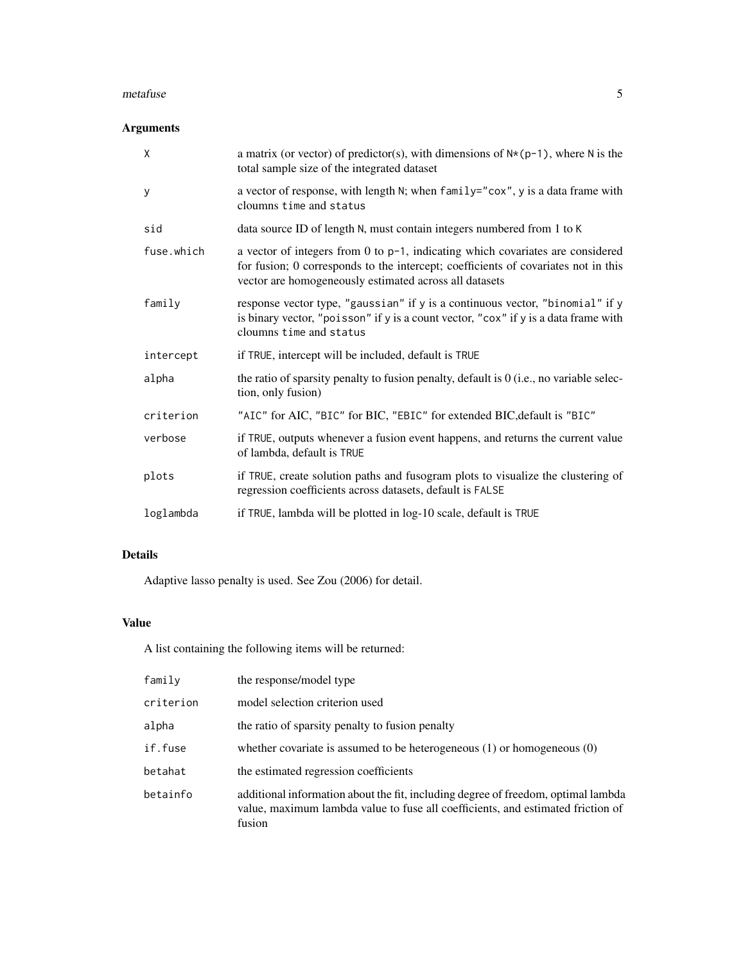#### metafuse 5

# Arguments

| $\mathsf{X}$ | a matrix (or vector) of predictor(s), with dimensions of $N*(p-1)$ , where N is the<br>total sample size of the integrated dataset                                                                                             |
|--------------|--------------------------------------------------------------------------------------------------------------------------------------------------------------------------------------------------------------------------------|
| У            | a vector of response, with length N; when family="cox", y is a data frame with<br>cloumns time and status                                                                                                                      |
| sid          | data source ID of length N, must contain integers numbered from 1 to K                                                                                                                                                         |
| fuse.which   | a vector of integers from 0 to p-1, indicating which covariates are considered<br>for fusion; 0 corresponds to the intercept; coefficients of covariates not in this<br>vector are homogeneously estimated across all datasets |
| family       | response vector type, "gaussian" if y is a continuous vector, "binomial" if y<br>is binary vector, "poisson" if y is a count vector, "cox" if y is a data frame with<br>cloumns time and status                                |
| intercept    | if TRUE, intercept will be included, default is TRUE                                                                                                                                                                           |
| alpha        | the ratio of sparsity penalty to fusion penalty, default is $0$ (i.e., no variable selec-<br>tion, only fusion)                                                                                                                |
| criterion    | "AIC" for AIC, "BIC" for BIC, "EBIC" for extended BIC, default is "BIC"                                                                                                                                                        |
| verbose      | if TRUE, outputs whenever a fusion event happens, and returns the current value<br>of lambda, default is TRUE                                                                                                                  |
| plots        | if TRUE, create solution paths and fusogram plots to visualize the clustering of<br>regression coefficients across datasets, default is FALSE                                                                                  |
| loglambda    | if TRUE, lambda will be plotted in log-10 scale, default is TRUE                                                                                                                                                               |

# Details

Adaptive lasso penalty is used. See Zou (2006) for detail.

# Value

A list containing the following items will be returned:

| family    | the response/model type                                                                                                                                                        |
|-----------|--------------------------------------------------------------------------------------------------------------------------------------------------------------------------------|
| criterion | model selection criterion used                                                                                                                                                 |
| alpha     | the ratio of sparsity penalty to fusion penalty                                                                                                                                |
| if.fuse   | whether covariate is assumed to be heterogeneous $(1)$ or homogeneous $(0)$                                                                                                    |
| betahat   | the estimated regression coefficients                                                                                                                                          |
| betainfo  | additional information about the fit, including degree of freedom, optimal lambda<br>value, maximum lambda value to fuse all coefficients, and estimated friction of<br>fusion |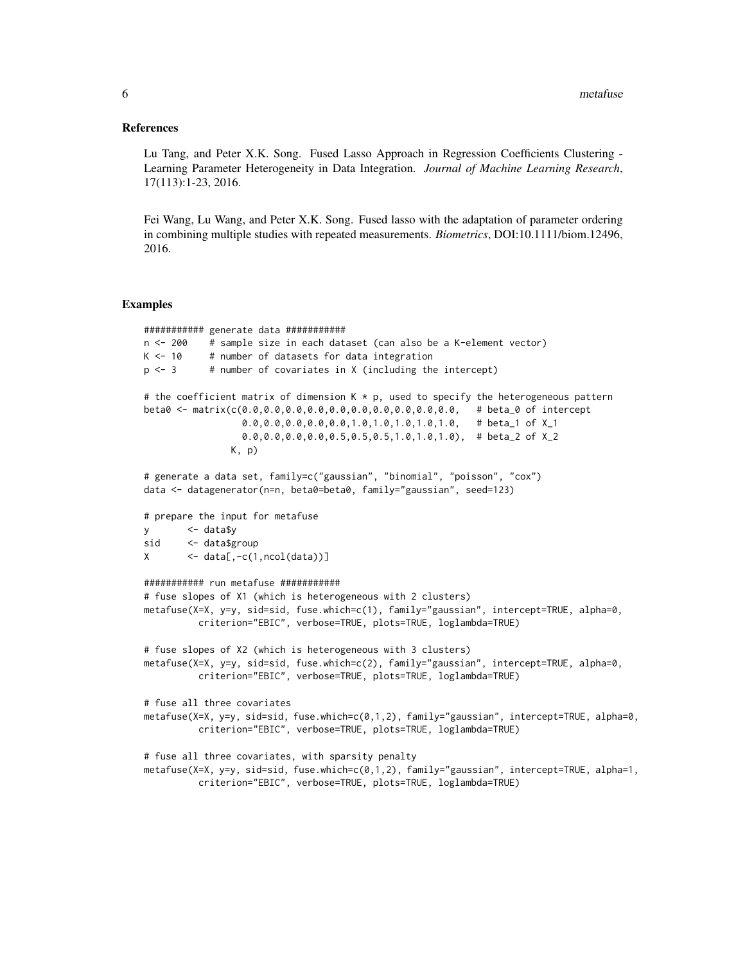#### References

Lu Tang, and Peter X.K. Song. Fused Lasso Approach in Regression Coefficients Clustering - Learning Parameter Heterogeneity in Data Integration. *Journal of Machine Learning Research*, 17(113):1-23, 2016.

Fei Wang, Lu Wang, and Peter X.K. Song. Fused lasso with the adaptation of parameter ordering in combining multiple studies with repeated measurements. *Biometrics*, DOI:10.1111/biom.12496, 2016.

#### Examples

```
########### generate data ###########
n <- 200 # sample size in each dataset (can also be a K-element vector)
K < -10 # number of datasets for data integration
p \le -3 # number of covariates in X (including the intercept)
# the coefficient matrix of dimension K * p, used to specify the heterogeneous pattern
beta0 <- matrix(c(0.0,0.0,0.0,0.0,0.0,0.0,0.0,0.0,0.0,0.0, # beta_0 of intercept
                  0.0,0.0,0.0,0.0,0.0,1.0,1.0,1.0,1.0,1.0, # beta_1 of X_1
                  0.0, 0.0, 0.0, 0.0, 0.5, 0.5, 0.5, 1.0, 1.0, 1.0), # beta_2 of X_2
                K, p)
# generate a data set, family=c("gaussian", "binomial", "poisson", "cox")
data <- datagenerator(n=n, beta0=beta0, family="gaussian", seed=123)
# prepare the input for metafuse
y <- data$y
sid <- data$group
X \leftarrow data[, -c(1, \text{ncol(data)})########### run metafuse ###########
# fuse slopes of X1 (which is heterogeneous with 2 clusters)
metafuse(X=X, y=y, sid=sid, fuse.which=c(1), family="gaussian", intercept=TRUE, alpha=0,
          criterion="EBIC", verbose=TRUE, plots=TRUE, loglambda=TRUE)
# fuse slopes of X2 (which is heterogeneous with 3 clusters)
metafuse(X=X, y=y, sid=sid, fuse.which=c(2), family="gaussian", intercept=TRUE, alpha=0,
          criterion="EBIC", verbose=TRUE, plots=TRUE, loglambda=TRUE)
# fuse all three covariates
metafuse(X=X, y=y, sid=sid, fuse.which=c(0,1,2), family="gaussian", intercept=TRUE, alpha=0,
          criterion="EBIC", verbose=TRUE, plots=TRUE, loglambda=TRUE)
# fuse all three covariates, with sparsity penalty
metafuse(X=X, y=y, sid=sid, fuse.which=c(0,1,2), family="gaussian", intercept=TRUE, alpha=1,
          criterion="EBIC", verbose=TRUE, plots=TRUE, loglambda=TRUE)
```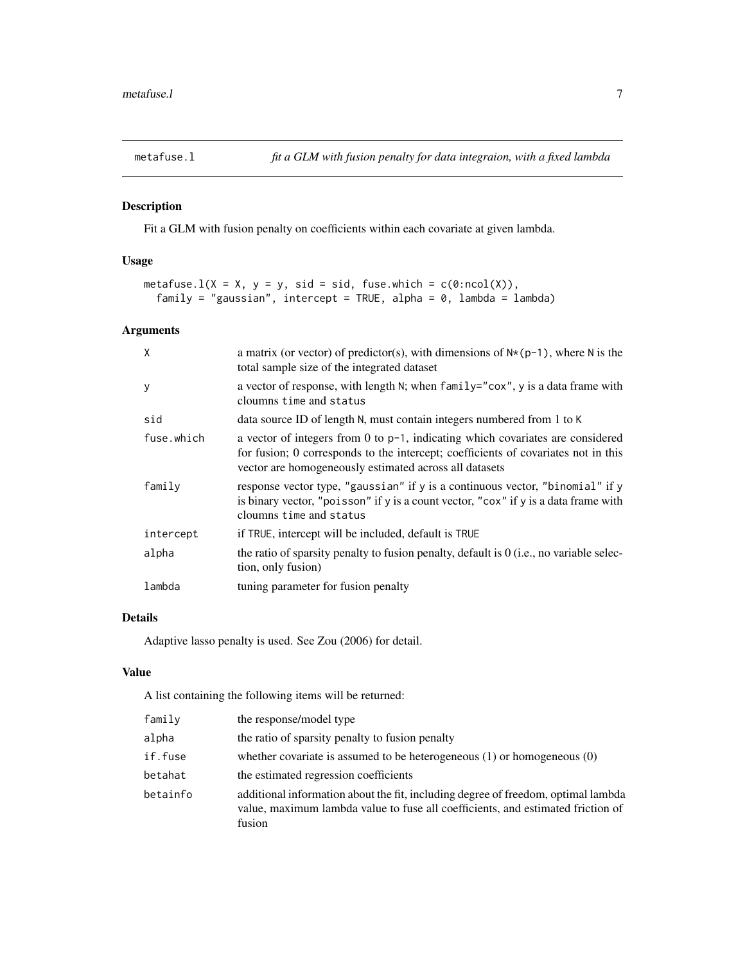<span id="page-6-0"></span>

# Description

Fit a GLM with fusion penalty on coefficients within each covariate at given lambda.

# Usage

```
metafuse.l(X = X, y = y, sid = sid, fuse.which = c(0:ncol(X)),
 family = "gaussian", intercept = TRUE, alpha = 0, lambda = lambda)
```
# Arguments

| X          | a matrix (or vector) of predictor(s), with dimensions of $N*(p-1)$ , where N is the<br>total sample size of the integrated dataset                                                                                                |
|------------|-----------------------------------------------------------------------------------------------------------------------------------------------------------------------------------------------------------------------------------|
| y          | a vector of response, with length N; when family="cox", y is a data frame with<br>cloumns time and status                                                                                                                         |
| sid        | data source ID of length N, must contain integers numbered from 1 to K                                                                                                                                                            |
| fuse.which | a vector of integers from 0 to $p-1$ , indicating which covariates are considered<br>for fusion; 0 corresponds to the intercept; coefficients of covariates not in this<br>vector are homogeneously estimated across all datasets |
| family     | response vector type, "gaussian" if y is a continuous vector, "binomial" if y<br>is binary vector, "poisson" if y is a count vector, "cox" if y is a data frame with<br>cloumns time and status                                   |
| intercept  | if TRUE, intercept will be included, default is TRUE                                                                                                                                                                              |
| alpha      | the ratio of sparsity penalty to fusion penalty, default is $0$ (i.e., no variable selec-<br>tion, only fusion)                                                                                                                   |
| lambda     | tuning parameter for fusion penalty                                                                                                                                                                                               |

# Details

Adaptive lasso penalty is used. See Zou (2006) for detail.

#### Value

A list containing the following items will be returned:

| family   | the response/model type                                                                                                                                                        |
|----------|--------------------------------------------------------------------------------------------------------------------------------------------------------------------------------|
| alpha    | the ratio of sparsity penalty to fusion penalty                                                                                                                                |
| if.fuse  | whether covariate is assumed to be heterogeneous $(1)$ or homogeneous $(0)$                                                                                                    |
| betahat  | the estimated regression coefficients                                                                                                                                          |
| betainfo | additional information about the fit, including degree of freedom, optimal lambda<br>value, maximum lambda value to fuse all coefficients, and estimated friction of<br>fusion |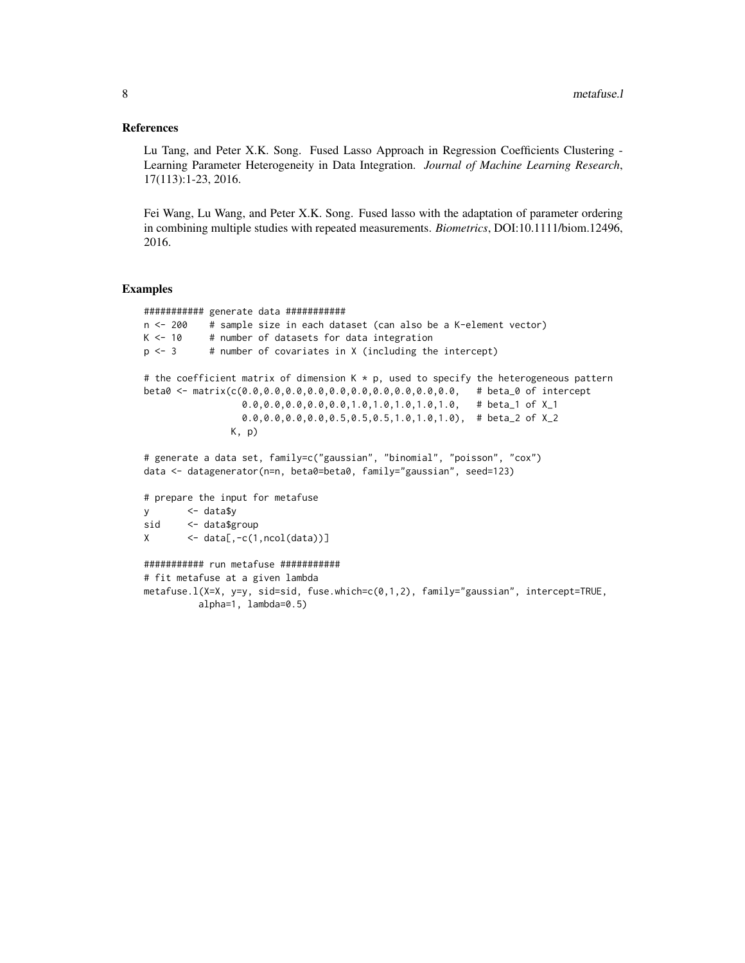#### References

Lu Tang, and Peter X.K. Song. Fused Lasso Approach in Regression Coefficients Clustering - Learning Parameter Heterogeneity in Data Integration. *Journal of Machine Learning Research*, 17(113):1-23, 2016.

Fei Wang, Lu Wang, and Peter X.K. Song. Fused lasso with the adaptation of parameter ordering in combining multiple studies with repeated measurements. *Biometrics*, DOI:10.1111/biom.12496, 2016.

#### Examples

```
########### generate data ###########
n <- 200 # sample size in each dataset (can also be a K-element vector)
K < -10 # number of datasets for data integration
p \le -3 # number of covariates in X (including the intercept)
# the coefficient matrix of dimension K * p, used to specify the heterogeneous pattern
beta0 <- matrix(c(0.0,0.0,0.0,0.0,0.0,0.0,0.0,0.0,0.0,0.0, # beta_0 of intercept
                 0.0,0.0,0.0,0.0,0.0,1.0,1.0,1.0,1.0,1.0, # beta_1 of X_1
                 0.0,0.0,0.0,0.0,0.5,0.5,0.5,1.0,1.0,1.0), # beta_2 of X_2
               K, p)
# generate a data set, family=c("gaussian", "binomial", "poisson", "cox")
data <- datagenerator(n=n, beta0=beta0, family="gaussian", seed=123)
# prepare the input for metafuse
y <- data$y
sid <- data$group
X \leftarrow data[, -c(1, \text{ncol(data)})########### run metafuse ###########
# fit metafuse at a given lambda
metafuse.l(X=X, y=y, sid=sid, fuse.which=c(0,1,2), family="gaussian", intercept=TRUE,
         alpha=1, lambda=0.5)
```